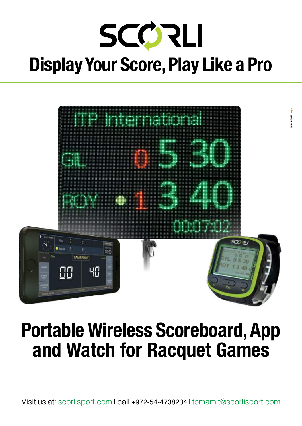



### Portable Wireless Scoreboard, App and Watch for Racquet Games

Visit us at: scorlisport.com I call +972-54-4738234 I tomamit@scorlisport.com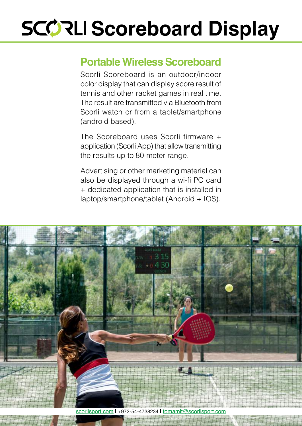## **SCORLI Scoreboard Display**

#### **Portable Wireless Scoreboard**

Scorli Scoreboard is an outdoor/indoor color display that can display score result of tennis and other racket games in real time. The result are transmitted via Bluetooth from Scorli watch or from a tablet/smartphone (android based).

The Scoreboard uses Scorli firmware  $+$ application (Scorli App) that allow transmitting the results up to 80-meter range.

Advertising or other marketing material can also be displayed through a wi-fi PC card + dedicated application that is installed in  $l$ aptop/smartphone/tablet (Android +  $IOS$ ).



scorlisport.com | +972-54-4738234 | tomamit@scorlisport.com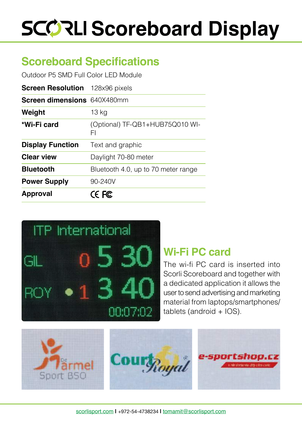# **SCORLI Scoreboard Display**

### **Scoreboard Specifications**

Outdoor P5 SMD Full Color LED Module

| <b>Screen Resolution</b> 128x96 pixels |                                       |
|----------------------------------------|---------------------------------------|
| <b>Screen dimensions</b> 640X480mm     |                                       |
| Weight                                 | 13 <sub>kg</sub>                      |
| *Wi-Fi card                            | (Optional) TF-QB1+HUB75Q010 WI-<br>FI |
| <b>Display Function</b>                | Text and graphic                      |
| <b>Clear view</b>                      | Daylight 70-80 meter                  |
| <b>Bluetooth</b>                       | Bluetooth 4.0, up to 70 meter range   |
| <b>Power Supply</b>                    | 90-240V                               |
| <b>Approval</b>                        | CE FC                                 |



#### **Wi-Fi PC card**

The wi-fi PC card is inserted into Scorli Scoreboard and together with a dedicated application it allows the user to send advertising and marketing material from laptops/smartphones/  $tablets (android + IOS).$ 

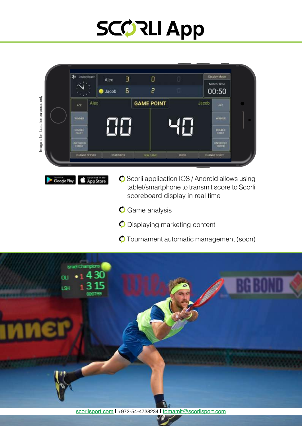### **SCORLI App**



Download on the<br>App Store General Play

- $\bullet$  Scorli application IOS / Android allows using tablet/smartphone to transmit score to Scorli scoreboard display in real time
- $\bullet$  Game analysis
- $\bullet$  Displaying marketing content
- $\bigcirc$  Tournament automatic management (soon)

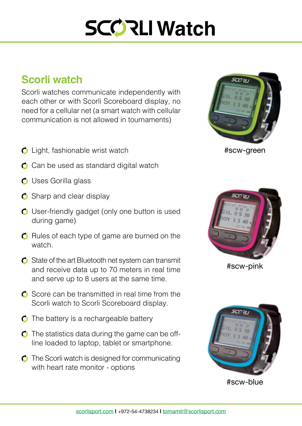### **SCORLI Watch**

#### **Scorli** watch

Scorli watches communicate independently with each other or with Scorli Scoreboard display, no need for a cellular net (a smart watch with cellular communication is not allowed in tournaments)

- $\bullet$  Light, fashionable wrist watch
- $\bullet$  Can be used as standard digital watch
- $\bigcirc$  Uses Gorilla glass
- $\bullet$  Sharp and clear display
- $\bullet$  User-friendly gadget (only one button is used during game)
- $\bullet$  Rules of each type of game are burned on the watch.
- $\bullet$  State of the art Bluetooth net system can transmit and receive data up to 70 meters in real time and serve up to 8 users at the same time.
- $\bullet$  Score can be transmitted in real time from the Scorli watch to Scorli Scoreboard display.
- $\bullet$  The battery is a rechargeable battery
- line loaded to laptop, tablet or smartphone.  $\bullet$  The statistics data during the game can be off-
- $\bullet$  The Scorli watch is designed for communicating with heart rate monitor - options



#scw-green



#scw-pink



#scw-blue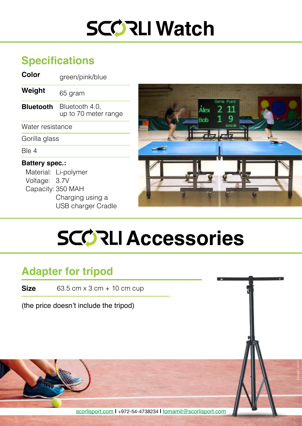### **SCORLI Watch**

#### **Specifications**

**Color** *green/pink/blue* 

**Weight** 65 gram

**Bluetooth** Bluetooth 4.0, up to 70 meter range

Water resistance

Gorilla glass

Ble 4

#### **Battery** spec.:

Material: Li-polymer Voltage: 3.7V Capacity: 350 MAH Charging using a USB charger Cradle



freepic.com

### **SCORLI Accessories**

#### **Adapter for tripod**

**Size** 63.5 cm  $\times$  3 cm  $+$  10 cm cup

(the price doesn't include the tripod)

scorlisport.com | +972-54-4738234 | tomamit@scorlisport.com